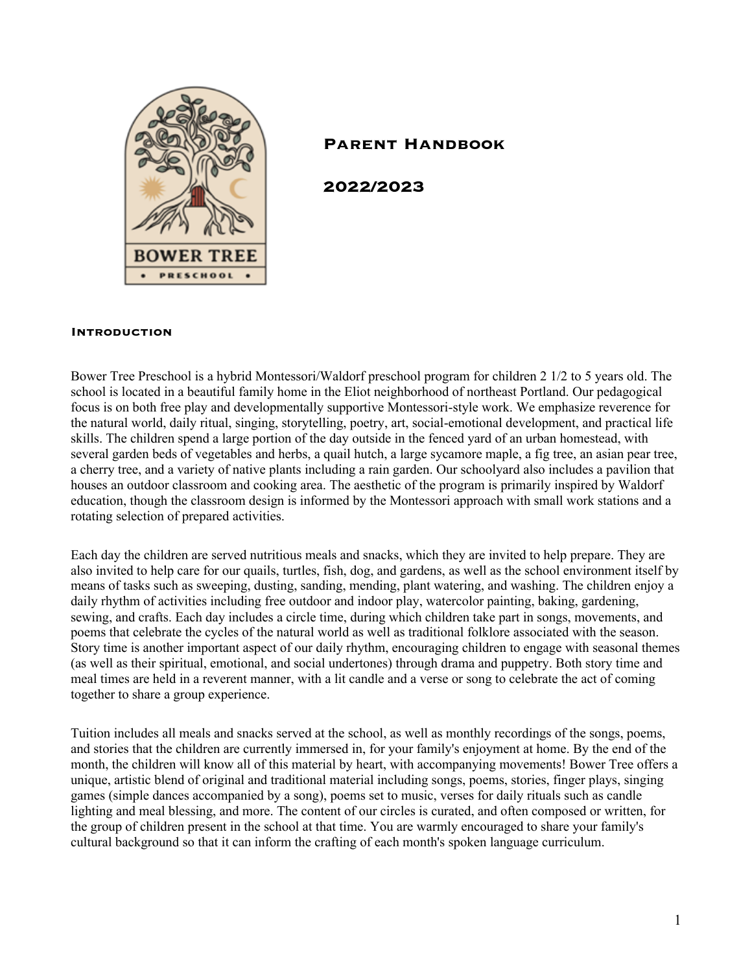

# **Parent Handbook**

**2022/2023**

#### **Introduction**

Bower Tree Preschool is a hybrid Montessori/Waldorf preschool program for children 2 1/2 to 5 years old. The school is located in a beautiful family home in the Eliot neighborhood of northeast Portland. Our pedagogical focus is on both free play and developmentally supportive Montessori-style work. We emphasize reverence for the natural world, daily ritual, singing, storytelling, poetry, art, social-emotional development, and practical life skills. The children spend a large portion of the day outside in the fenced yard of an urban homestead, with several garden beds of vegetables and herbs, a quail hutch, a large sycamore maple, a fig tree, an asian pear tree, a cherry tree, and a variety of native plants including a rain garden. Our schoolyard also includes a pavilion that houses an outdoor classroom and cooking area. The aesthetic of the program is primarily inspired by Waldorf education, though the classroom design is informed by the Montessori approach with small work stations and a rotating selection of prepared activities.

Each day the children are served nutritious meals and snacks, which they are invited to help prepare. They are also invited to help care for our quails, turtles, fish, dog, and gardens, as well as the school environment itself by means of tasks such as sweeping, dusting, sanding, mending, plant watering, and washing. The children enjoy a daily rhythm of activities including free outdoor and indoor play, watercolor painting, baking, gardening, sewing, and crafts. Each day includes a circle time, during which children take part in songs, movements, and poems that celebrate the cycles of the natural world as well as traditional folklore associated with the season. Story time is another important aspect of our daily rhythm, encouraging children to engage with seasonal themes (as well as their spiritual, emotional, and social undertones) through drama and puppetry. Both story time and meal times are held in a reverent manner, with a lit candle and a verse or song to celebrate the act of coming together to share a group experience.

Tuition includes all meals and snacks served at the school, as well as monthly recordings of the songs, poems, and stories that the children are currently immersed in, for your family's enjoyment at home. By the end of the month, the children will know all of this material by heart, with accompanying movements! Bower Tree offers a unique, artistic blend of original and traditional material including songs, poems, stories, finger plays, singing games (simple dances accompanied by a song), poems set to music, verses for daily rituals such as candle lighting and meal blessing, and more. The content of our circles is curated, and often composed or written, for the group of children present in the school at that time. You are warmly encouraged to share your family's cultural background so that it can inform the crafting of each month's spoken language curriculum.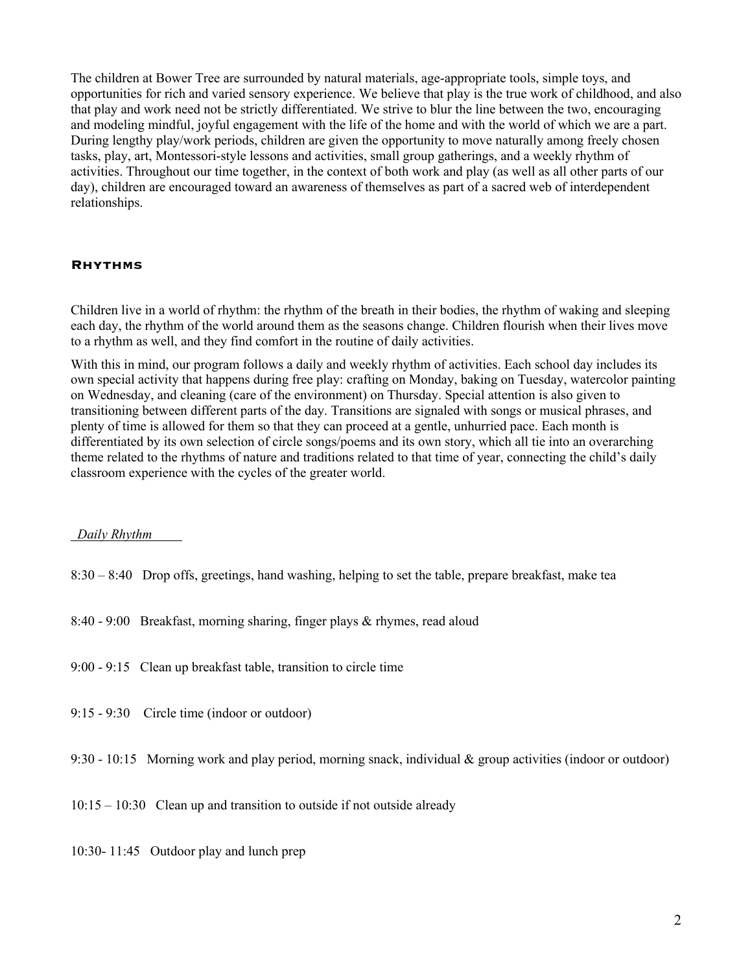The children at Bower Tree are surrounded by natural materials, age-appropriate tools, simple toys, and opportunities for rich and varied sensory experience. We believe that play is the true work of childhood, and also that play and work need not be strictly differentiated. We strive to blur the line between the two, encouraging and modeling mindful, joyful engagement with the life of the home and with the world of which we are a part. During lengthy play/work periods, children are given the opportunity to move naturally among freely chosen tasks, play, art, Montessori-style lessons and activities, small group gatherings, and a weekly rhythm of activities. Throughout our time together, in the context of both work and play (as well as all other parts of our day), children are encouraged toward an awareness of themselves as part of a sacred web of interdependent relationships.

#### **Rhythms**

Children live in a world of rhythm: the rhythm of the breath in their bodies, the rhythm of waking and sleeping each day, the rhythm of the world around them as the seasons change. Children flourish when their lives move to a rhythm as well, and they find comfort in the routine of daily activities.

With this in mind, our program follows a daily and weekly rhythm of activities. Each school day includes its own special activity that happens during free play: crafting on Monday, baking on Tuesday, watercolor painting on Wednesday, and cleaning (care of the environment) on Thursday. Special attention is also given to transitioning between different parts of the day. Transitions are signaled with songs or musical phrases, and plenty of time is allowed for them so that they can proceed at a gentle, unhurried pace. Each month is differentiated by its own selection of circle songs/poems and its own story, which all tie into an overarching theme related to the rhythms of nature and traditions related to that time of year, connecting the child's daily classroom experience with the cycles of the greater world.

### *Daily Rhythm*

- 8:30 8:40 Drop offs, greetings, hand washing, helping to set the table, prepare breakfast, make tea
- 8:40 9:00 Breakfast, morning sharing, finger plays & rhymes, read aloud
- 9:00 9:15 Clean up breakfast table, transition to circle time
- 9:15 9:30 Circle time (indoor or outdoor)
- 9:30 10:15 Morning work and play period, morning snack, individual & group activities (indoor or outdoor)

10:15 – 10:30 Clean up and transition to outside if not outside already

10:30- 11:45 Outdoor play and lunch prep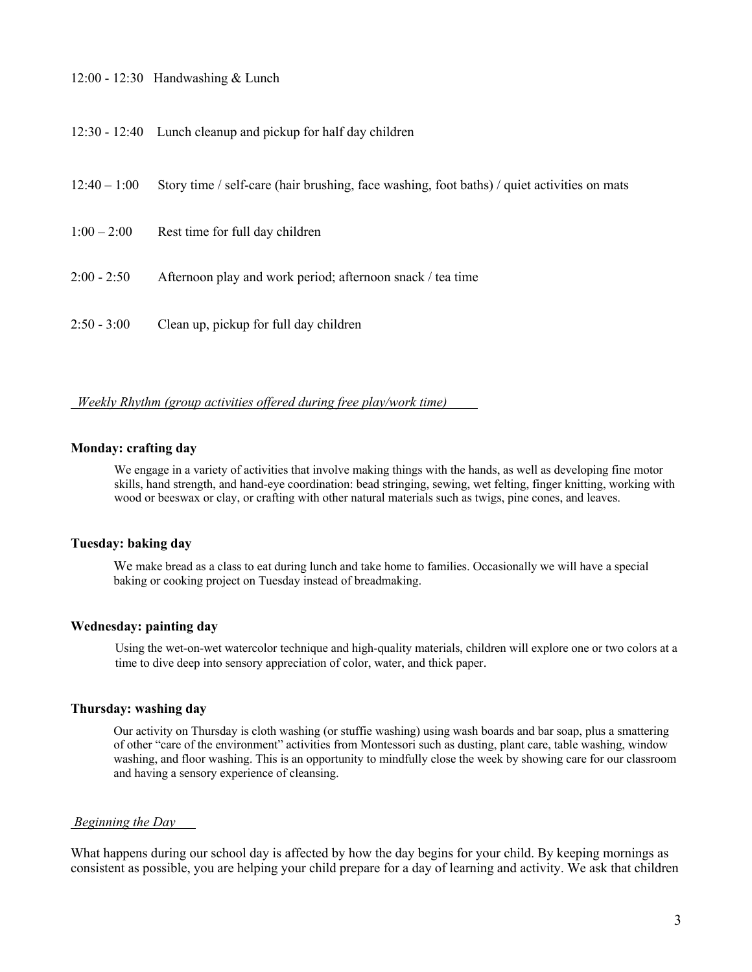- 12:00 12:30 Handwashing & Lunch
- 12:30 12:40 Lunch cleanup and pickup for half day children

| $12:40 - 1:00$ | Story time / self-care (hair brushing, face washing, foot baths) / quiet activities on mats |
|----------------|---------------------------------------------------------------------------------------------|
| $1:00 - 2:00$  | Rest time for full day children                                                             |
| $2:00 - 2:50$  | Afternoon play and work period; afternoon snack / tea time                                  |
| $2:50 - 3:00$  | Clean up, pickup for full day children                                                      |

#### *Weekly Rhythm (group activities offered during free play/work time)*

### **Monday: crafting day**

We engage in a variety of activities that involve making things with the hands, as well as developing fine motor skills, hand strength, and hand-eye coordination: bead stringing, sewing, wet felting, finger knitting, working with wood or beeswax or clay, or crafting with other natural materials such as twigs, pine cones, and leaves.

#### **Tuesday: baking day**

We make bread as a class to eat during lunch and take home to families. Occasionally we will have a special baking or cooking project on Tuesday instead of breadmaking.

#### **Wednesday: painting day**

Using the wet-on-wet watercolor technique and high-quality materials, children will explore one or two colors at a time to dive deep into sensory appreciation of color, water, and thick paper.

#### **Thursday: washing day**

Our activity on Thursday is cloth washing (or stuffie washing) using wash boards and bar soap, plus a smattering of other "care of the environment" activities from Montessori such as dusting, plant care, table washing, window washing, and floor washing. This is an opportunity to mindfully close the week by showing care for our classroom and having a sensory experience of cleansing.

#### *Beginning the Day*

What happens during our school day is affected by how the day begins for your child. By keeping mornings as consistent as possible, you are helping your child prepare for a day of learning and activity. We ask that children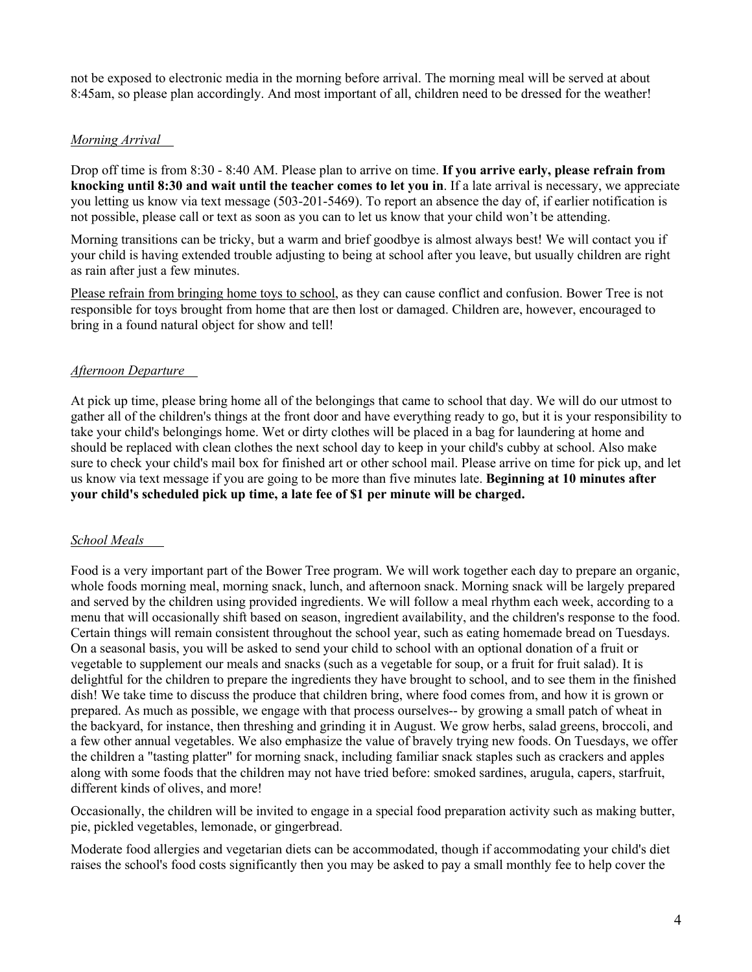not be exposed to electronic media in the morning before arrival. The morning meal will be served at about 8:45am, so please plan accordingly. And most important of all, children need to be dressed for the weather!

## *Morning Arrival*

Drop off time is from 8:30 - 8:40 AM. Please plan to arrive on time. **If you arrive early, please refrain from knocking until 8:30 and wait until the teacher comes to let you in**. If a late arrival is necessary, we appreciate you letting us know via text message (503-201-5469). To report an absence the day of, if earlier notification is not possible, please call or text as soon as you can to let us know that your child won't be attending.

Morning transitions can be tricky, but a warm and brief goodbye is almost always best! We will contact you if your child is having extended trouble adjusting to being at school after you leave, but usually children are right as rain after just a few minutes.

Please refrain from bringing home toys to school, as they can cause conflict and confusion. Bower Tree is not responsible for toys brought from home that are then lost or damaged. Children are, however, encouraged to bring in a found natural object for show and tell!

## *Afternoon Departure*

At pick up time, please bring home all of the belongings that came to school that day. We will do our utmost to gather all of the children's things at the front door and have everything ready to go, but it is your responsibility to take your child's belongings home. Wet or dirty clothes will be placed in a bag for laundering at home and should be replaced with clean clothes the next school day to keep in your child's cubby at school. Also make sure to check your child's mail box for finished art or other school mail. Please arrive on time for pick up, and let us know via text message if you are going to be more than five minutes late. **Beginning at 10 minutes after your child's scheduled pick up time, a late fee of \$1 per minute will be charged.**

## *School Meals*

Food is a very important part of the Bower Tree program. We will work together each day to prepare an organic, whole foods morning meal, morning snack, lunch, and afternoon snack. Morning snack will be largely prepared and served by the children using provided ingredients. We will follow a meal rhythm each week, according to a menu that will occasionally shift based on season, ingredient availability, and the children's response to the food. Certain things will remain consistent throughout the school year, such as eating homemade bread on Tuesdays. On a seasonal basis, you will be asked to send your child to school with an optional donation of a fruit or vegetable to supplement our meals and snacks (such as a vegetable for soup, or a fruit for fruit salad). It is delightful for the children to prepare the ingredients they have brought to school, and to see them in the finished dish! We take time to discuss the produce that children bring, where food comes from, and how it is grown or prepared. As much as possible, we engage with that process ourselves-- by growing a small patch of wheat in the backyard, for instance, then threshing and grinding it in August. We grow herbs, salad greens, broccoli, and a few other annual vegetables. We also emphasize the value of bravely trying new foods. On Tuesdays, we offer the children a "tasting platter" for morning snack, including familiar snack staples such as crackers and apples along with some foods that the children may not have tried before: smoked sardines, arugula, capers, starfruit, different kinds of olives, and more!

Occasionally, the children will be invited to engage in a special food preparation activity such as making butter, pie, pickled vegetables, lemonade, or gingerbread.

Moderate food allergies and vegetarian diets can be accommodated, though if accommodating your child's diet raises the school's food costs significantly then you may be asked to pay a small monthly fee to help cover the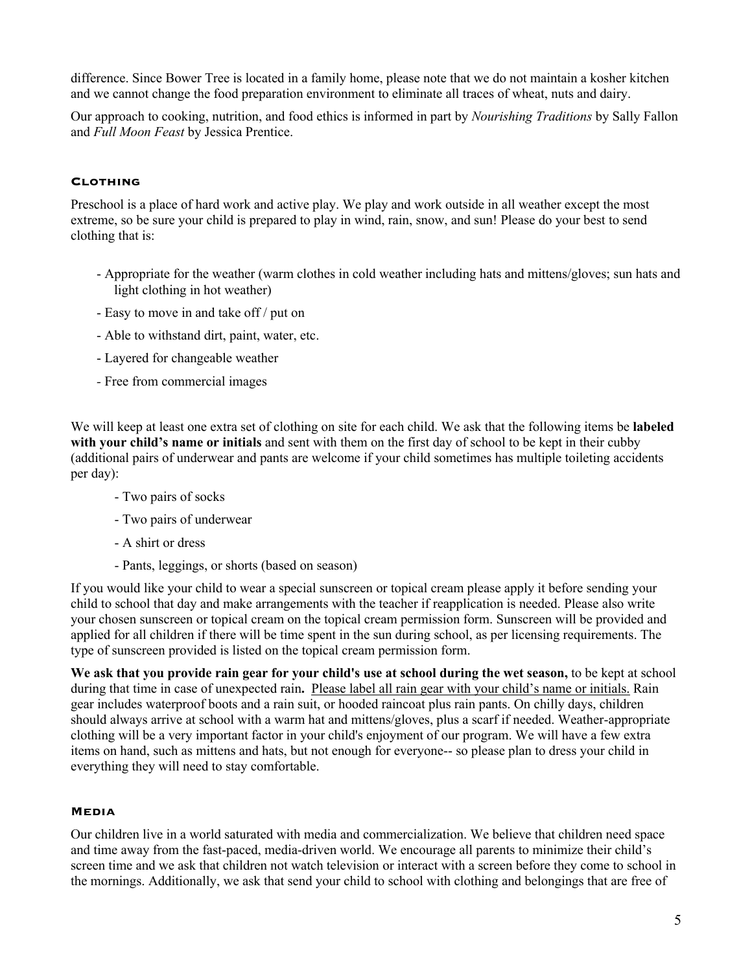difference. Since Bower Tree is located in a family home, please note that we do not maintain a kosher kitchen and we cannot change the food preparation environment to eliminate all traces of wheat, nuts and dairy.

Our approach to cooking, nutrition, and food ethics is informed in part by *Nourishing Traditions* by Sally Fallon and *Full Moon Feast* by Jessica Prentice.

#### **Clothing**

Preschool is a place of hard work and active play. We play and work outside in all weather except the most extreme, so be sure your child is prepared to play in wind, rain, snow, and sun! Please do your best to send clothing that is:

- Appropriate for the weather (warm clothes in cold weather including hats and mittens/gloves; sun hats and light clothing in hot weather)
- Easy to move in and take off / put on
- Able to withstand dirt, paint, water, etc.
- Layered for changeable weather
- *-* Free from commercial images

We will keep at least one extra set of clothing on site for each child. We ask that the following items be **labeled with your child's name or initials** and sent with them on the first day of school to be kept in their cubby (additional pairs of underwear and pants are welcome if your child sometimes has multiple toileting accidents per day):

- Two pairs of socks
- Two pairs of underwear
- A shirt or dress
- Pants, leggings, or shorts (based on season)

If you would like your child to wear a special sunscreen or topical cream please apply it before sending your child to school that day and make arrangements with the teacher if reapplication is needed. Please also write your chosen sunscreen or topical cream on the topical cream permission form. Sunscreen will be provided and applied for all children if there will be time spent in the sun during school, as per licensing requirements. The type of sunscreen provided is listed on the topical cream permission form.

**We ask that you provide rain gear for your child's use at school during the wet season,** to be kept at school during that time in case of unexpected rain**.** Please label all rain gear with your child's name or initials. Rain gear includes waterproof boots and a rain suit, or hooded raincoat plus rain pants. On chilly days, children should always arrive at school with a warm hat and mittens/gloves, plus a scarf if needed. Weather-appropriate clothing will be a very important factor in your child's enjoyment of our program. We will have a few extra items on hand, such as mittens and hats, but not enough for everyone-- so please plan to dress your child in everything they will need to stay comfortable.

#### **Media**

Our children live in a world saturated with media and commercialization. We believe that children need space and time away from the fast-paced, media-driven world. We encourage all parents to minimize their child's screen time and we ask that children not watch television or interact with a screen before they come to school in the mornings. Additionally, we ask that send your child to school with clothing and belongings that are free of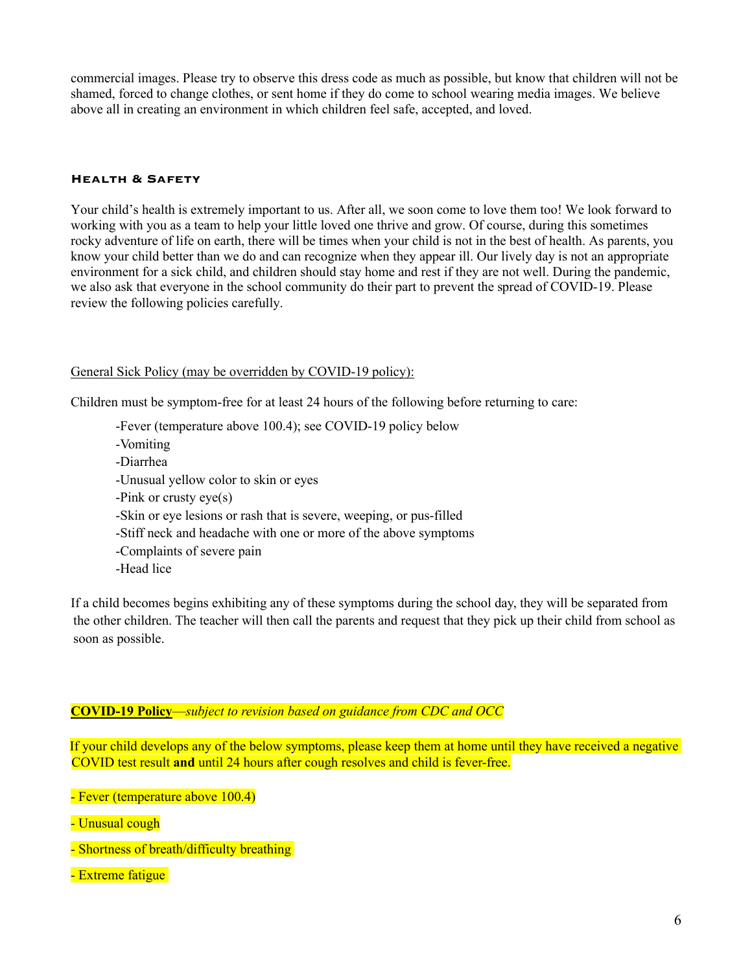commercial images. Please try to observe this dress code as much as possible, but know that children will not be shamed, forced to change clothes, or sent home if they do come to school wearing media images. We believe above all in creating an environment in which children feel safe, accepted, and loved.

#### **Health & Safety**

Your child's health is extremely important to us. After all, we soon come to love them too! We look forward to working with you as a team to help your little loved one thrive and grow. Of course, during this sometimes rocky adventure of life on earth, there will be times when your child is not in the best of health. As parents, you know your child better than we do and can recognize when they appear ill. Our lively day is not an appropriate environment for a sick child, and children should stay home and rest if they are not well. During the pandemic, we also ask that everyone in the school community do their part to prevent the spread of COVID-19. Please review the following policies carefully.

#### General Sick Policy (may be overridden by COVID-19 policy):

Children must be symptom-free for at least 24 hours of the following before returning to care:

-Fever (temperature above 100.4); see COVID-19 policy below -Vomiting -Diarrhea -Unusual yellow color to skin or eyes -Pink or crusty eye(s) -Skin or eye lesions or rash that is severe, weeping, or pus-filled -Stiff neck and headache with one or more of the above symptoms -Complaints of severe pain -Head lice

If a child becomes begins exhibiting any of these symptoms during the school day, they will be separated from the other children. The teacher will then call the parents and request that they pick up their child from school as soon as possible.

### **COVID-19 Policy**—*subject to revision based on guidance from CDC and OCC*

If your child develops any of the below symptoms, please keep them at home until they have received a negative COVID test result **and** until 24 hours after cough resolves and child is fever-free.

- Fever (temperature above 100.4)

- Unusual cough

- Shortness of breath/difficulty breathing
- Extreme fatigue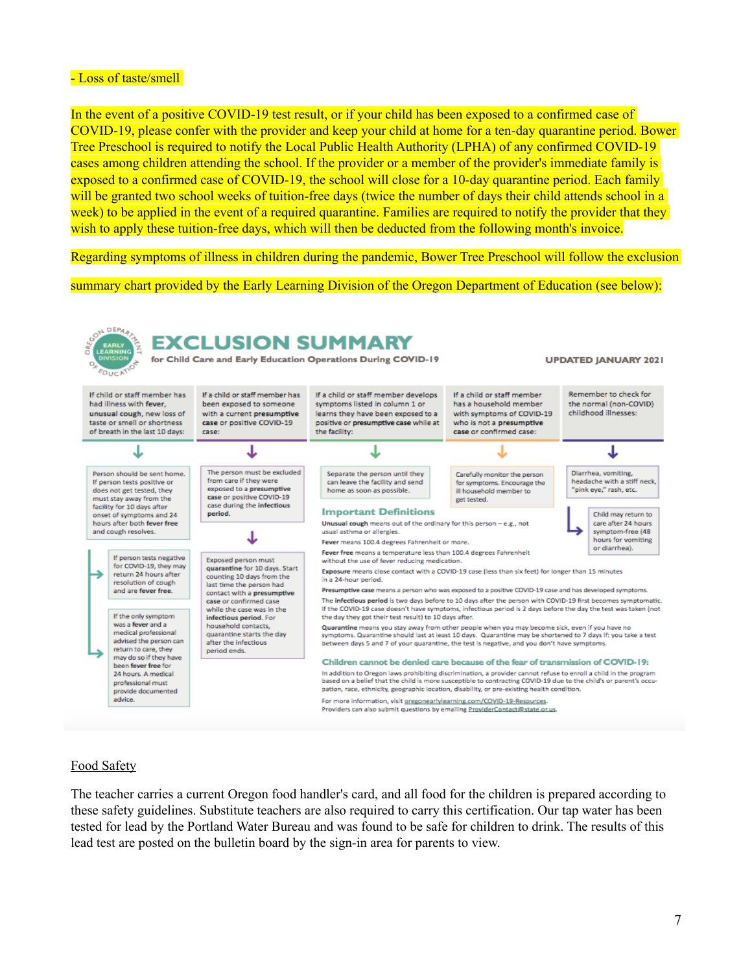### - Loss of taste/smell

In the event of a positive COVID-19 test result, or if your child has been exposed to a confirmed case of COVID-19, please confer with the provider and keep your child at home for a ten-day quarantine period. Bower Tree Preschool is required to notify the Local Public Health Authority (LPHA) of any confirmed COVID-19 cases among children attending the school. If the provider or a member of the provider's immediate family is exposed to a confirmed case of COVID-19, the school will close for a 10-day quarantine period. Each family will be granted two school weeks of tuition-free days (twice the number of days their child attends school in a week) to be applied in the event of a required quarantine. Families are required to notify the provider that they wish to apply these tuition-free days, which will then be deducted from the following month's invoice.

Regarding symptoms of illness in children during the pandemic, Bower Tree Preschool will follow the exclusion

summary chart provided by the Early Learning Division of the Oregon Department of Education (see below):



### Food Safety

The teacher carries a current Oregon food handler's card, and all food for the children is prepared according to these safety guidelines. Substitute teachers are also required to carry this certification. Our tap water has been tested for lead by the Portland Water Bureau and was found to be safe for children to drink. The results of this lead test are posted on the bulletin board by the sign-in area for parents to view.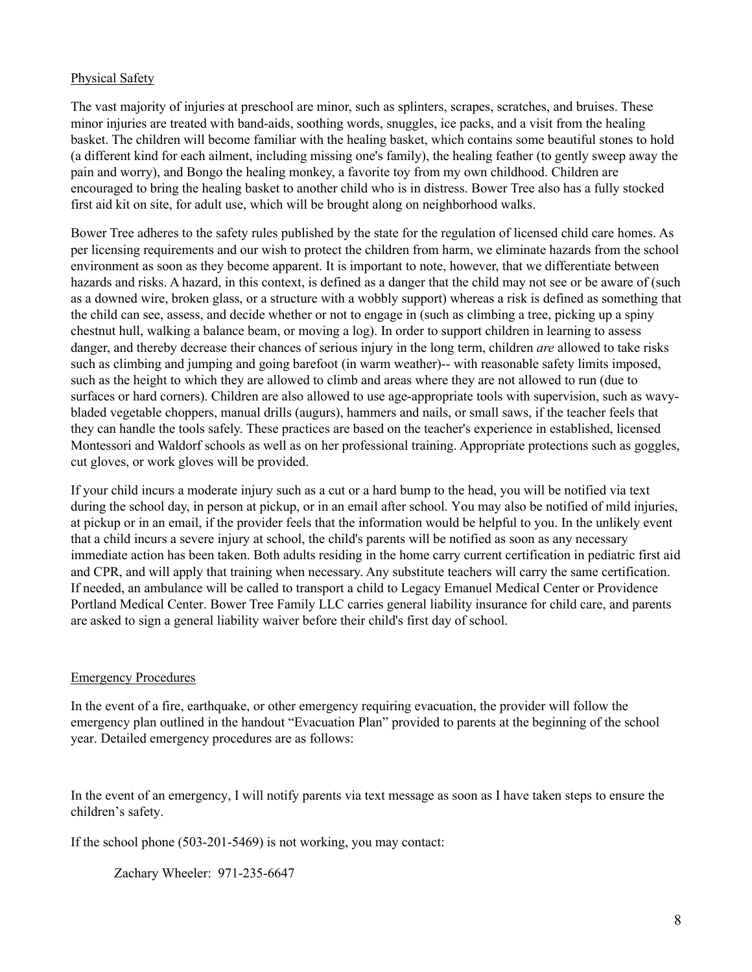### Physical Safety

The vast majority of injuries at preschool are minor, such as splinters, scrapes, scratches, and bruises. These minor injuries are treated with band-aids, soothing words, snuggles, ice packs, and a visit from the healing basket. The children will become familiar with the healing basket, which contains some beautiful stones to hold (a different kind for each ailment, including missing one's family), the healing feather (to gently sweep away the pain and worry), and Bongo the healing monkey, a favorite toy from my own childhood. Children are encouraged to bring the healing basket to another child who is in distress. Bower Tree also has a fully stocked first aid kit on site, for adult use, which will be brought along on neighborhood walks.

Bower Tree adheres to the safety rules published by the state for the regulation of licensed child care homes. As per licensing requirements and our wish to protect the children from harm, we eliminate hazards from the school environment as soon as they become apparent. It is important to note, however, that we differentiate between hazards and risks. A hazard, in this context, is defined as a danger that the child may not see or be aware of (such as a downed wire, broken glass, or a structure with a wobbly support) whereas a risk is defined as something that the child can see, assess, and decide whether or not to engage in (such as climbing a tree, picking up a spiny chestnut hull, walking a balance beam, or moving a log). In order to support children in learning to assess danger, and thereby decrease their chances of serious injury in the long term, children *are* allowed to take risks such as climbing and jumping and going barefoot (in warm weather)-- with reasonable safety limits imposed, such as the height to which they are allowed to climb and areas where they are not allowed to run (due to surfaces or hard corners). Children are also allowed to use age-appropriate tools with supervision, such as wavybladed vegetable choppers, manual drills (augurs), hammers and nails, or small saws, if the teacher feels that they can handle the tools safely. These practices are based on the teacher's experience in established, licensed Montessori and Waldorf schools as well as on her professional training. Appropriate protections such as goggles, cut gloves, or work gloves will be provided.

If your child incurs a moderate injury such as a cut or a hard bump to the head, you will be notified via text during the school day, in person at pickup, or in an email after school. You may also be notified of mild injuries, at pickup or in an email, if the provider feels that the information would be helpful to you. In the unlikely event that a child incurs a severe injury at school, the child's parents will be notified as soon as any necessary immediate action has been taken. Both adults residing in the home carry current certification in pediatric first aid and CPR, and will apply that training when necessary. Any substitute teachers will carry the same certification. If needed, an ambulance will be called to transport a child to Legacy Emanuel Medical Center or Providence Portland Medical Center. Bower Tree Family LLC carries general liability insurance for child care, and parents are asked to sign a general liability waiver before their child's first day of school.

#### Emergency Procedures

In the event of a fire, earthquake, or other emergency requiring evacuation, the provider will follow the emergency plan outlined in the handout "Evacuation Plan" provided to parents at the beginning of the school year. Detailed emergency procedures are as follows:

In the event of an emergency, I will notify parents via text message as soon as I have taken steps to ensure the children's safety.

If the school phone (503-201-5469) is not working, you may contact:

Zachary Wheeler: 971-235-6647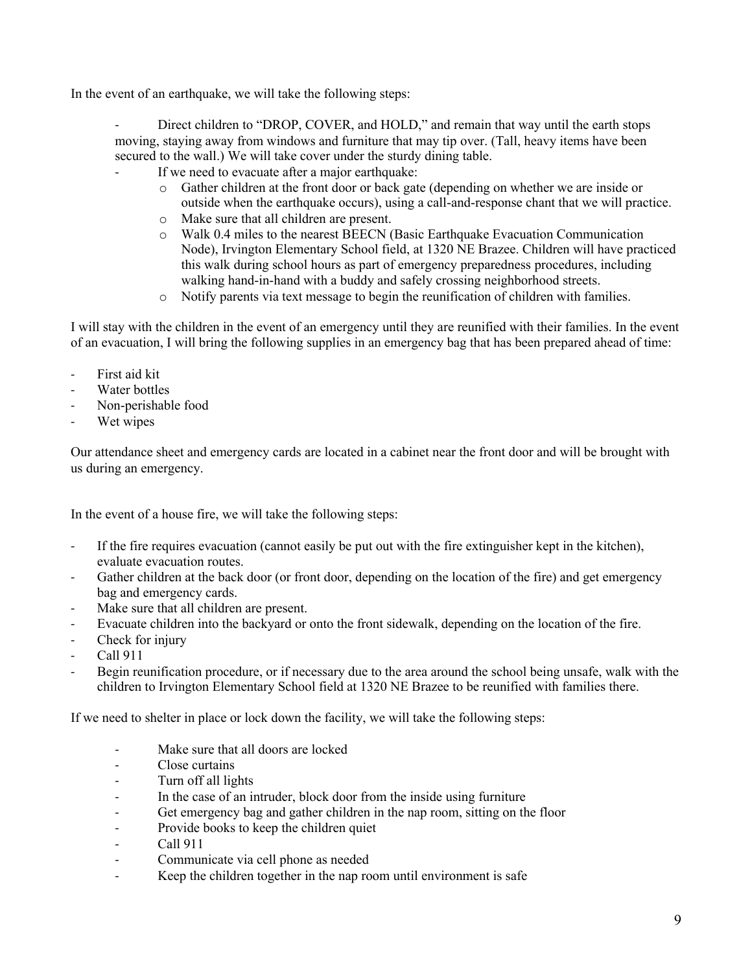In the event of an earthquake, we will take the following steps:

Direct children to "DROP, COVER, and HOLD," and remain that way until the earth stops moving, staying away from windows and furniture that may tip over. (Tall, heavy items have been secured to the wall.) We will take cover under the sturdy dining table.

- If we need to evacuate after a major earthquake:
	- o Gather children at the front door or back gate (depending on whether we are inside or outside when the earthquake occurs), using a call-and-response chant that we will practice.
	- o Make sure that all children are present.
	- o Walk 0.4 miles to the nearest BEECN (Basic Earthquake Evacuation Communication Node), Irvington Elementary School field, at 1320 NE Brazee. Children will have practiced this walk during school hours as part of emergency preparedness procedures, including walking hand-in-hand with a buddy and safely crossing neighborhood streets.
	- o Notify parents via text message to begin the reunification of children with families.

I will stay with the children in the event of an emergency until they are reunified with their families. In the event of an evacuation, I will bring the following supplies in an emergency bag that has been prepared ahead of time:

- First aid kit
- Water bottles
- Non-perishable food
- Wet wipes

Our attendance sheet and emergency cards are located in a cabinet near the front door and will be brought with us during an emergency.

In the event of a house fire, we will take the following steps:

- If the fire requires evacuation (cannot easily be put out with the fire extinguisher kept in the kitchen), evaluate evacuation routes.
- Gather children at the back door (or front door, depending on the location of the fire) and get emergency bag and emergency cards.
- Make sure that all children are present.
- Evacuate children into the backyard or onto the front sidewalk, depending on the location of the fire.
- Check for injury
- Call 911
- Begin reunification procedure, or if necessary due to the area around the school being unsafe, walk with the children to Irvington Elementary School field at 1320 NE Brazee to be reunified with families there.

If we need to shelter in place or lock down the facility, we will take the following steps:

- Make sure that all doors are locked
- Close curtains
- Turn off all lights
- In the case of an intruder, block door from the inside using furniture
- Get emergency bag and gather children in the nap room, sitting on the floor
- Provide books to keep the children quiet
- Call 911
- Communicate via cell phone as needed
- Keep the children together in the nap room until environment is safe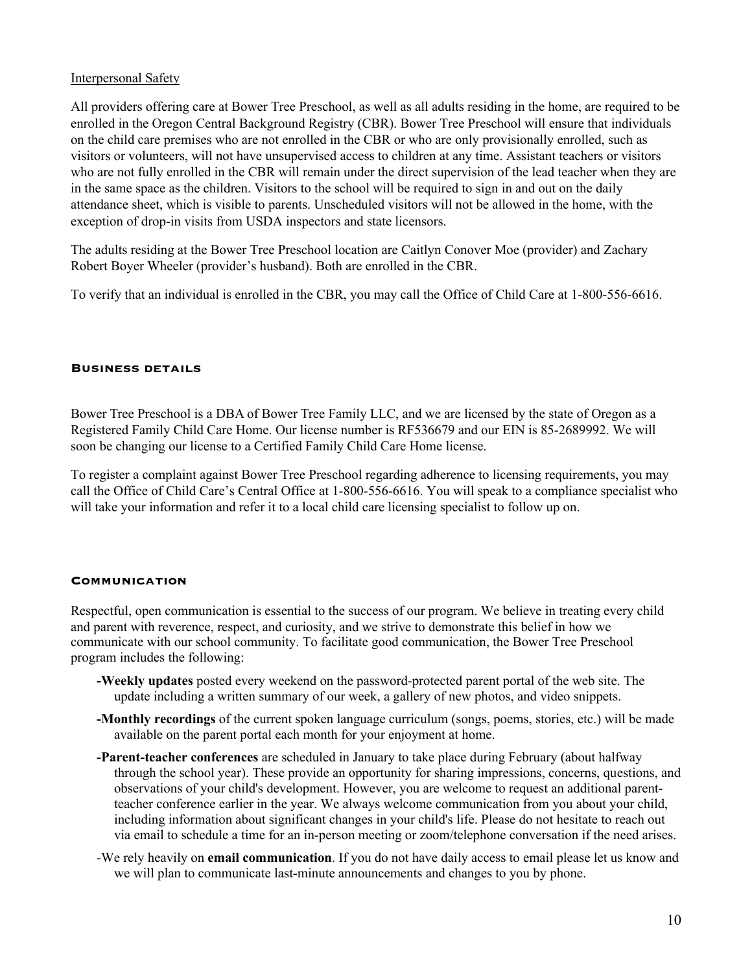### Interpersonal Safety

All providers offering care at Bower Tree Preschool, as well as all adults residing in the home, are required to be enrolled in the Oregon Central Background Registry (CBR). Bower Tree Preschool will ensure that individuals on the child care premises who are not enrolled in the CBR or who are only provisionally enrolled, such as visitors or volunteers, will not have unsupervised access to children at any time. Assistant teachers or visitors who are not fully enrolled in the CBR will remain under the direct supervision of the lead teacher when they are in the same space as the children. Visitors to the school will be required to sign in and out on the daily attendance sheet, which is visible to parents. Unscheduled visitors will not be allowed in the home, with the exception of drop-in visits from USDA inspectors and state licensors.

The adults residing at the Bower Tree Preschool location are Caitlyn Conover Moe (provider) and Zachary Robert Boyer Wheeler (provider's husband). Both are enrolled in the CBR.

To verify that an individual is enrolled in the CBR, you may call the Office of Child Care at 1-800-556-6616.

#### **Business details**

Bower Tree Preschool is a DBA of Bower Tree Family LLC, and we are licensed by the state of Oregon as a Registered Family Child Care Home. Our license number is RF536679 and our EIN is 85-2689992. We will soon be changing our license to a Certified Family Child Care Home license.

To register a complaint against Bower Tree Preschool regarding adherence to licensing requirements, you may call the Office of Child Care's Central Office at 1-800-556-6616. You will speak to a compliance specialist who will take your information and refer it to a local child care licensing specialist to follow up on.

#### **Communication**

Respectful, open communication is essential to the success of our program. We believe in treating every child and parent with reverence, respect, and curiosity, and we strive to demonstrate this belief in how we communicate with our school community. To facilitate good communication, the Bower Tree Preschool program includes the following:

- **-Weekly updates** posted every weekend on the password-protected parent portal of the web site. The update including a written summary of our week, a gallery of new photos, and video snippets.
- **-Monthly recordings** of the current spoken language curriculum (songs, poems, stories, etc.) will be made available on the parent portal each month for your enjoyment at home.
- **-Parent-teacher conferences** are scheduled in January to take place during February (about halfway through the school year). These provide an opportunity for sharing impressions, concerns, questions, and observations of your child's development. However, you are welcome to request an additional parentteacher conference earlier in the year. We always welcome communication from you about your child, including information about significant changes in your child's life. Please do not hesitate to reach out via email to schedule a time for an in-person meeting or zoom/telephone conversation if the need arises.
- -We rely heavily on **email communication**. If you do not have daily access to email please let us know and we will plan to communicate last-minute announcements and changes to you by phone.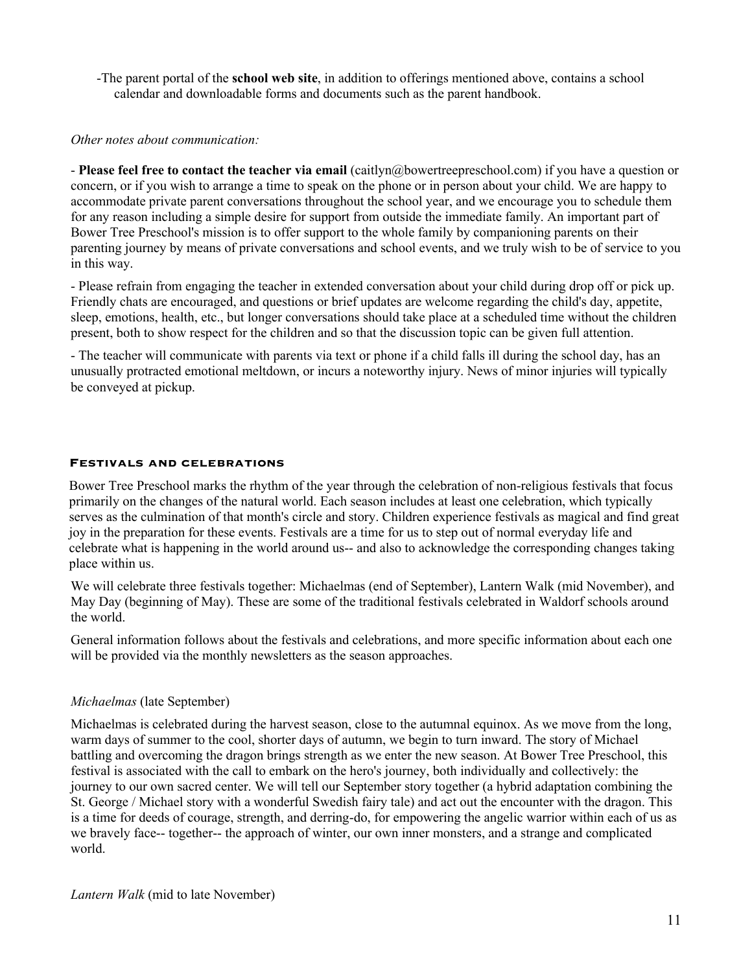-The parent portal of the **school web site**, in addition to offerings mentioned above, contains a school calendar and downloadable forms and documents such as the parent handbook.

#### *Other notes about communication:*

- **Please feel free to contact the teacher via email** (caitlyn@bowertreepreschool.com) if you have a question or concern, or if you wish to arrange a time to speak on the phone or in person about your child. We are happy to accommodate private parent conversations throughout the school year, and we encourage you to schedule them for any reason including a simple desire for support from outside the immediate family. An important part of Bower Tree Preschool's mission is to offer support to the whole family by companioning parents on their parenting journey by means of private conversations and school events, and we truly wish to be of service to you in this way.

- Please refrain from engaging the teacher in extended conversation about your child during drop off or pick up. Friendly chats are encouraged, and questions or brief updates are welcome regarding the child's day, appetite, sleep, emotions, health, etc., but longer conversations should take place at a scheduled time without the children present, both to show respect for the children and so that the discussion topic can be given full attention.

- The teacher will communicate with parents via text or phone if a child falls ill during the school day, has an unusually protracted emotional meltdown, or incurs a noteworthy injury. News of minor injuries will typically be conveyed at pickup.

#### **Festivals and celebrations**

Bower Tree Preschool marks the rhythm of the year through the celebration of non-religious festivals that focus primarily on the changes of the natural world. Each season includes at least one celebration, which typically serves as the culmination of that month's circle and story. Children experience festivals as magical and find great joy in the preparation for these events. Festivals are a time for us to step out of normal everyday life and celebrate what is happening in the world around us-- and also to acknowledge the corresponding changes taking place within us.

We will celebrate three festivals together: Michaelmas (end of September), Lantern Walk (mid November), and May Day (beginning of May). These are some of the traditional festivals celebrated in Waldorf schools around the world.

General information follows about the festivals and celebrations, and more specific information about each one will be provided via the monthly newsletters as the season approaches.

### *Michaelmas* (late September)

Michaelmas is celebrated during the harvest season, close to the autumnal equinox. As we move from the long, warm days of summer to the cool, shorter days of autumn, we begin to turn inward. The story of Michael battling and overcoming the dragon brings strength as we enter the new season. At Bower Tree Preschool, this festival is associated with the call to embark on the hero's journey, both individually and collectively: the journey to our own sacred center. We will tell our September story together (a hybrid adaptation combining the St. George / Michael story with a wonderful Swedish fairy tale) and act out the encounter with the dragon. This is a time for deeds of courage, strength, and derring-do, for empowering the angelic warrior within each of us as we bravely face-- together-- the approach of winter, our own inner monsters, and a strange and complicated world.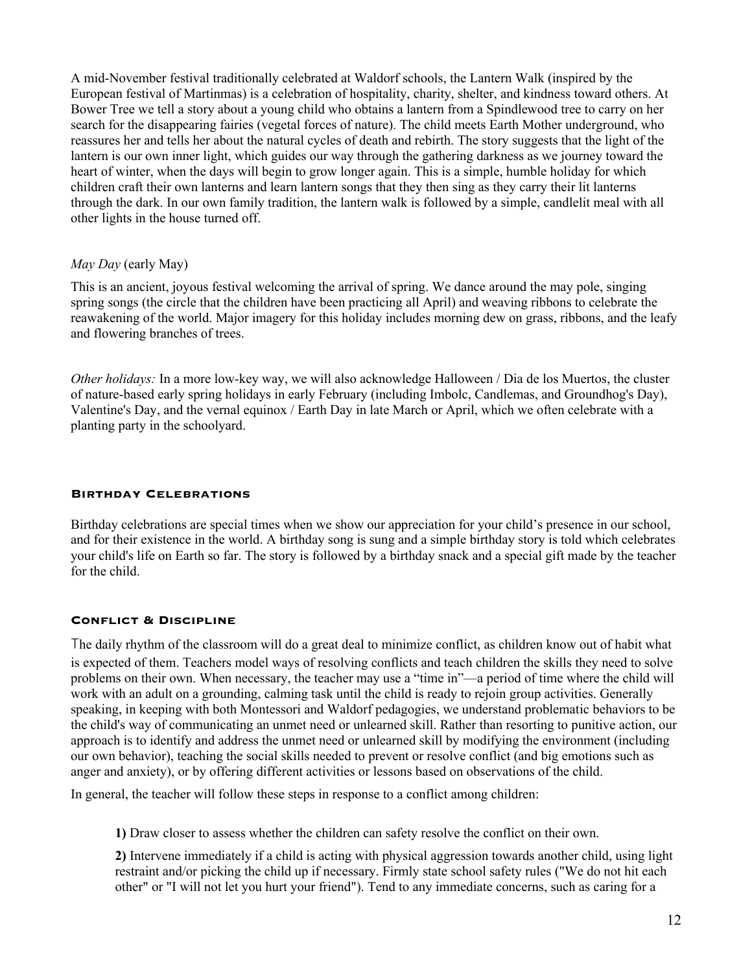A mid-November festival traditionally celebrated at Waldorf schools, the Lantern Walk (inspired by the European festival of Martinmas) is a celebration of hospitality, charity, shelter, and kindness toward others. At Bower Tree we tell a story about a young child who obtains a lantern from a Spindlewood tree to carry on her search for the disappearing fairies (vegetal forces of nature). The child meets Earth Mother underground, who reassures her and tells her about the natural cycles of death and rebirth. The story suggests that the light of the lantern is our own inner light, which guides our way through the gathering darkness as we journey toward the heart of winter, when the days will begin to grow longer again. This is a simple, humble holiday for which children craft their own lanterns and learn lantern songs that they then sing as they carry their lit lanterns through the dark. In our own family tradition, the lantern walk is followed by a simple, candlelit meal with all other lights in the house turned off.

### *May Day* (early May)

This is an ancient, joyous festival welcoming the arrival of spring. We dance around the may pole, singing spring songs (the circle that the children have been practicing all April) and weaving ribbons to celebrate the reawakening of the world. Major imagery for this holiday includes morning dew on grass, ribbons, and the leafy and flowering branches of trees.

*Other holidays:* In a more low-key way, we will also acknowledge Halloween / Dia de los Muertos, the cluster of nature-based early spring holidays in early February (including Imbolc, Candlemas, and Groundhog's Day), Valentine's Day, and the vernal equinox / Earth Day in late March or April, which we often celebrate with a planting party in the schoolyard.

### **Birthday Celebrations**

Birthday celebrations are special times when we show our appreciation for your child's presence in our school, and for their existence in the world. A birthday song is sung and a simple birthday story is told which celebrates your child's life on Earth so far. The story is followed by a birthday snack and a special gift made by the teacher for the child.

### **Conflict & Discipline**

The daily rhythm of the classroom will do a great deal to minimize conflict, as children know out of habit what is expected of them. Teachers model ways of resolving conflicts and teach children the skills they need to solve problems on their own. When necessary, the teacher may use a "time in"—a period of time where the child will work with an adult on a grounding, calming task until the child is ready to rejoin group activities. Generally speaking, in keeping with both Montessori and Waldorf pedagogies, we understand problematic behaviors to be the child's way of communicating an unmet need or unlearned skill. Rather than resorting to punitive action, our approach is to identify and address the unmet need or unlearned skill by modifying the environment (including our own behavior), teaching the social skills needed to prevent or resolve conflict (and big emotions such as anger and anxiety), or by offering different activities or lessons based on observations of the child.

In general, the teacher will follow these steps in response to a conflict among children:

**1)** Draw closer to assess whether the children can safety resolve the conflict on their own.

**2)** Intervene immediately if a child is acting with physical aggression towards another child, using light restraint and/or picking the child up if necessary. Firmly state school safety rules ("We do not hit each other" or "I will not let you hurt your friend"). Tend to any immediate concerns, such as caring for a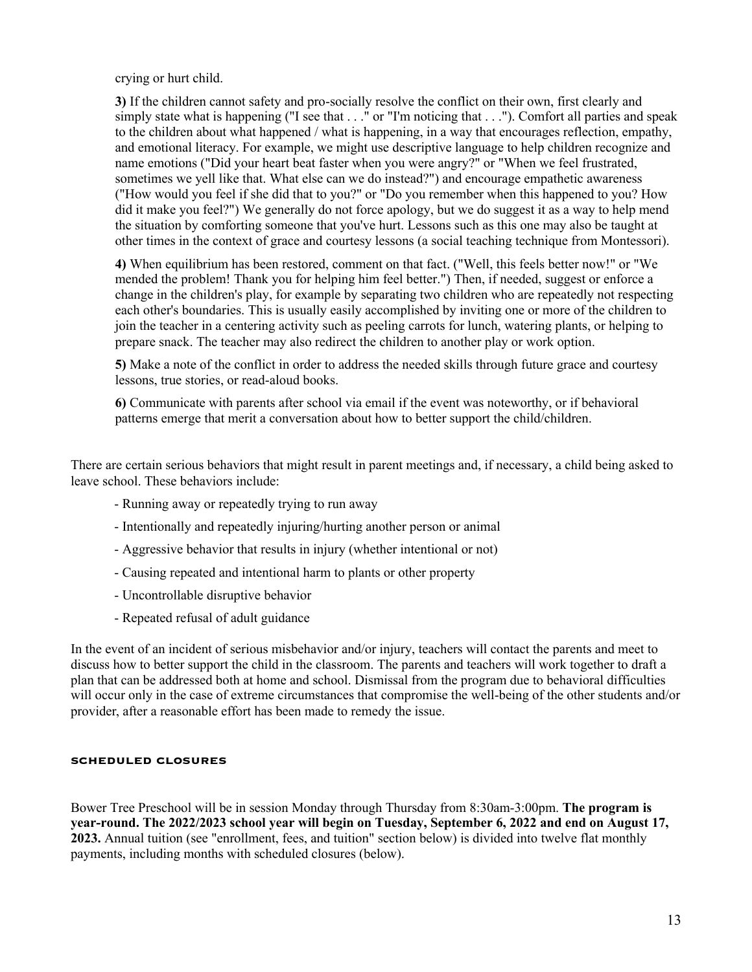crying or hurt child.

**3)** If the children cannot safety and pro-socially resolve the conflict on their own, first clearly and simply state what is happening ("I see that . . ." or "I'm noticing that . . ."). Comfort all parties and speak to the children about what happened / what is happening, in a way that encourages reflection, empathy, and emotional literacy. For example, we might use descriptive language to help children recognize and name emotions ("Did your heart beat faster when you were angry?" or "When we feel frustrated, sometimes we yell like that. What else can we do instead?") and encourage empathetic awareness ("How would you feel if she did that to you?" or "Do you remember when this happened to you? How did it make you feel?") We generally do not force apology, but we do suggest it as a way to help mend the situation by comforting someone that you've hurt. Lessons such as this one may also be taught at other times in the context of grace and courtesy lessons (a social teaching technique from Montessori).

**4)** When equilibrium has been restored, comment on that fact. ("Well, this feels better now!" or "We mended the problem! Thank you for helping him feel better.") Then, if needed, suggest or enforce a change in the children's play, for example by separating two children who are repeatedly not respecting each other's boundaries. This is usually easily accomplished by inviting one or more of the children to join the teacher in a centering activity such as peeling carrots for lunch, watering plants, or helping to prepare snack. The teacher may also redirect the children to another play or work option.

**5)** Make a note of the conflict in order to address the needed skills through future grace and courtesy lessons, true stories, or read-aloud books.

**6)** Communicate with parents after school via email if the event was noteworthy, or if behavioral patterns emerge that merit a conversation about how to better support the child/children.

There are certain serious behaviors that might result in parent meetings and, if necessary, a child being asked to leave school. These behaviors include:

- Running away or repeatedly trying to run away
- Intentionally and repeatedly injuring/hurting another person or animal
- Aggressive behavior that results in injury (whether intentional or not)
- Causing repeated and intentional harm to plants or other property
- Uncontrollable disruptive behavior
- Repeated refusal of adult guidance

In the event of an incident of serious misbehavior and/or injury, teachers will contact the parents and meet to discuss how to better support the child in the classroom. The parents and teachers will work together to draft a plan that can be addressed both at home and school. Dismissal from the program due to behavioral difficulties will occur only in the case of extreme circumstances that compromise the well-being of the other students and/or provider, after a reasonable effort has been made to remedy the issue.

#### **scheduled closures**

Bower Tree Preschool will be in session Monday through Thursday from 8:30am-3:00pm. **The program is year-round. The 2022/2023 school year will begin on Tuesday, September 6, 2022 and end on August 17, 2023.** Annual tuition (see "enrollment, fees, and tuition" section below) is divided into twelve flat monthly payments, including months with scheduled closures (below).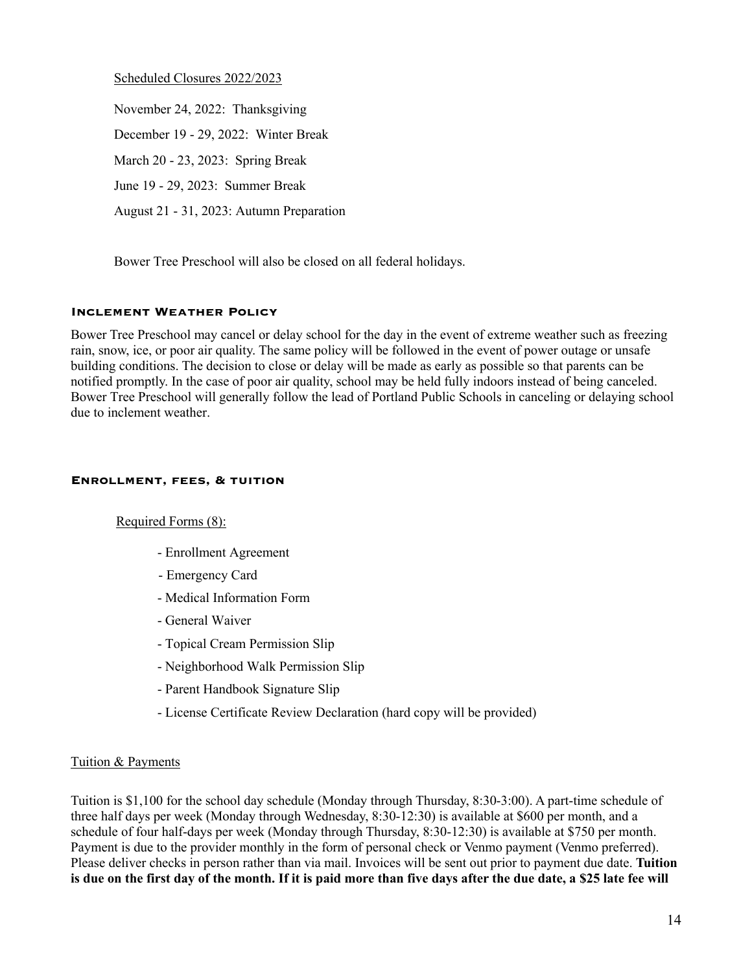Scheduled Closures 2022/2023

November 24, 2022: Thanksgiving December 19 - 29, 2022: Winter Break March 20 - 23, 2023: Spring Break June 19 - 29, 2023: Summer Break August 21 - 31, 2023: Autumn Preparation

Bower Tree Preschool will also be closed on all federal holidays.

### **Inclement Weather Policy**

Bower Tree Preschool may cancel or delay school for the day in the event of extreme weather such as freezing rain, snow, ice, or poor air quality. The same policy will be followed in the event of power outage or unsafe building conditions. The decision to close or delay will be made as early as possible so that parents can be notified promptly. In the case of poor air quality, school may be held fully indoors instead of being canceled. Bower Tree Preschool will generally follow the lead of Portland Public Schools in canceling or delaying school due to inclement weather.

### **Enrollment, fees, & tuition**

### Required Forms (8):

- Enrollment Agreement
- Emergency Card
- Medical Information Form
- General Waiver
- Topical Cream Permission Slip
- Neighborhood Walk Permission Slip
- Parent Handbook Signature Slip
- License Certificate Review Declaration (hard copy will be provided)

### Tuition & Payments

Tuition is \$1,100 for the school day schedule (Monday through Thursday, 8:30-3:00). A part-time schedule of three half days per week (Monday through Wednesday, 8:30-12:30) is available at \$600 per month, and a schedule of four half-days per week (Monday through Thursday, 8:30-12:30) is available at \$750 per month. Payment is due to the provider monthly in the form of personal check or Venmo payment (Venmo preferred). Please deliver checks in person rather than via mail. Invoices will be sent out prior to payment due date. **Tuition is due on the first day of the month. If it is paid more than five days after the due date, a \$25 late fee will**